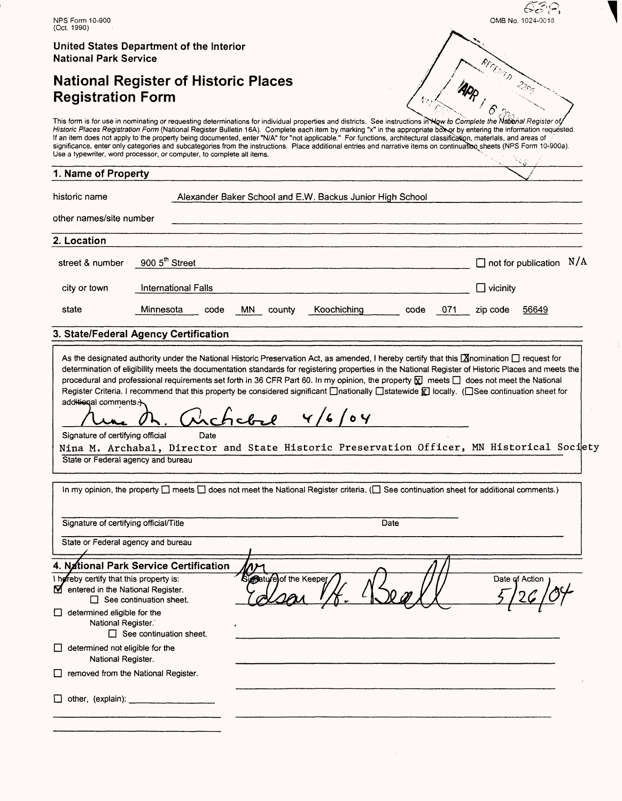| United States Department of the Interior<br><b>National Park Service</b><br>RtCEllTD<br><b>National Register of Historic Places</b><br>$\mathcal{Z}_{\mathcal{E}_{\mathcal{O}}}$<br><b>Registration Form</b><br>This form is for use in nominating or requesting determinations for individual properties and districts. See instructions in How to Complete the National Register of<br>Historic Places Registration Form (National Register Bulletin 16A). Complete each item by marking "x" in the appropriate box or by entering the information requested.<br>If an item does not apply to the property being documented, enter "N/A" for "not applicable." For functions, architectural classification, materials, and areas of<br>significance, enter only categories and subcategories from the instructions. Place additional entries and narrative items on continuation sheets (NPS Form 10-900a).<br>Use a typewriter, word processor, or computer, to complete all items.<br>1. Name of Property<br>historic name<br>Alexander Baker School and E.W. Backus Junior High School<br>other names/site number<br>2. Location<br>900 5 <sup>th</sup> Street<br>$\Box$ not for publication $N/A$<br>street & number<br>International Falls<br>$\Box$ vicinity<br>city or town<br>state<br>Minnesota<br>Koochiching<br>071<br>code<br>MN —<br>code<br>zip code<br>56649<br>county<br>3. State/Federal Agency Certification<br>As the designated authority under the National Historic Preservation Act, as amended, I hereby certify that this $\Xi$ nomination $\Box$ request for<br>determination of eligibility meets the documentation standards for registering properties in the National Register of Historic Places and meets the<br>procedural and professional requirements set forth in 36 CFR Part 60. In my opinion, the property $\boxed{\mathbf{X}}$ meets $\boxed{\phantom{a}}$ does not meet the National<br>Register Criteria. I recommend that this property be considered significant <b>nationally example Example 2</b> locally. (See continuation sheet for<br>additional comments.+<br>4/6/04<br>rebel<br>Signature of certifying official<br>Date<br>Nina M. Archabal, Director and State Historic Preservation Officer, MN Historical Society<br>State or Federal agency and bureau<br>In my opinion, the property $\Box$ meets $\Box$ does not meet the National Register criteria. ( $\Box$ See continuation sheet for additional comments.)<br>Signature of certifying official/Title<br>Date<br>State or Federal agency and bureau<br>4. National Park Service Certification<br>Spoaty elof the Keeper<br>I hereby certify that this property is:<br>Date of Action<br>entered in the National Register.<br>$\Box$ See continuation sheet.<br>determined eligible for the<br>National Register.<br>$\Box$ See continuation sheet.<br>determined not eligible for the<br>National Register.<br>removed from the National Register.<br>other, (explain): _______________________ | NPS Form 10-900 |  |  |  |  | OMB No. 1024-0018 |  |
|--------------------------------------------------------------------------------------------------------------------------------------------------------------------------------------------------------------------------------------------------------------------------------------------------------------------------------------------------------------------------------------------------------------------------------------------------------------------------------------------------------------------------------------------------------------------------------------------------------------------------------------------------------------------------------------------------------------------------------------------------------------------------------------------------------------------------------------------------------------------------------------------------------------------------------------------------------------------------------------------------------------------------------------------------------------------------------------------------------------------------------------------------------------------------------------------------------------------------------------------------------------------------------------------------------------------------------------------------------------------------------------------------------------------------------------------------------------------------------------------------------------------------------------------------------------------------------------------------------------------------------------------------------------------------------------------------------------------------------------------------------------------------------------------------------------------------------------------------------------------------------------------------------------------------------------------------------------------------------------------------------------------------------------------------------------------------------------------------------------------------------------------------------------------------------------------------------------------------------------------------------------------------------------------------------------------------------------------------------------------------------------------------------------------------------------------------------------------------------------------------------------------------------------------------------------------------------------------------------------------------------------------------------------------------------------------------------------------------------------------------------------------------------------------------------------------------------------------------------------------------------------------------------------------------------------------------------------------------------------------------------------------|-----------------|--|--|--|--|-------------------|--|
|                                                                                                                                                                                                                                                                                                                                                                                                                                                                                                                                                                                                                                                                                                                                                                                                                                                                                                                                                                                                                                                                                                                                                                                                                                                                                                                                                                                                                                                                                                                                                                                                                                                                                                                                                                                                                                                                                                                                                                                                                                                                                                                                                                                                                                                                                                                                                                                                                                                                                                                                                                                                                                                                                                                                                                                                                                                                                                                                                                                                                    | (Oct. 1990)     |  |  |  |  |                   |  |
|                                                                                                                                                                                                                                                                                                                                                                                                                                                                                                                                                                                                                                                                                                                                                                                                                                                                                                                                                                                                                                                                                                                                                                                                                                                                                                                                                                                                                                                                                                                                                                                                                                                                                                                                                                                                                                                                                                                                                                                                                                                                                                                                                                                                                                                                                                                                                                                                                                                                                                                                                                                                                                                                                                                                                                                                                                                                                                                                                                                                                    |                 |  |  |  |  |                   |  |
|                                                                                                                                                                                                                                                                                                                                                                                                                                                                                                                                                                                                                                                                                                                                                                                                                                                                                                                                                                                                                                                                                                                                                                                                                                                                                                                                                                                                                                                                                                                                                                                                                                                                                                                                                                                                                                                                                                                                                                                                                                                                                                                                                                                                                                                                                                                                                                                                                                                                                                                                                                                                                                                                                                                                                                                                                                                                                                                                                                                                                    |                 |  |  |  |  |                   |  |
|                                                                                                                                                                                                                                                                                                                                                                                                                                                                                                                                                                                                                                                                                                                                                                                                                                                                                                                                                                                                                                                                                                                                                                                                                                                                                                                                                                                                                                                                                                                                                                                                                                                                                                                                                                                                                                                                                                                                                                                                                                                                                                                                                                                                                                                                                                                                                                                                                                                                                                                                                                                                                                                                                                                                                                                                                                                                                                                                                                                                                    |                 |  |  |  |  |                   |  |
|                                                                                                                                                                                                                                                                                                                                                                                                                                                                                                                                                                                                                                                                                                                                                                                                                                                                                                                                                                                                                                                                                                                                                                                                                                                                                                                                                                                                                                                                                                                                                                                                                                                                                                                                                                                                                                                                                                                                                                                                                                                                                                                                                                                                                                                                                                                                                                                                                                                                                                                                                                                                                                                                                                                                                                                                                                                                                                                                                                                                                    |                 |  |  |  |  |                   |  |
|                                                                                                                                                                                                                                                                                                                                                                                                                                                                                                                                                                                                                                                                                                                                                                                                                                                                                                                                                                                                                                                                                                                                                                                                                                                                                                                                                                                                                                                                                                                                                                                                                                                                                                                                                                                                                                                                                                                                                                                                                                                                                                                                                                                                                                                                                                                                                                                                                                                                                                                                                                                                                                                                                                                                                                                                                                                                                                                                                                                                                    |                 |  |  |  |  |                   |  |
|                                                                                                                                                                                                                                                                                                                                                                                                                                                                                                                                                                                                                                                                                                                                                                                                                                                                                                                                                                                                                                                                                                                                                                                                                                                                                                                                                                                                                                                                                                                                                                                                                                                                                                                                                                                                                                                                                                                                                                                                                                                                                                                                                                                                                                                                                                                                                                                                                                                                                                                                                                                                                                                                                                                                                                                                                                                                                                                                                                                                                    |                 |  |  |  |  |                   |  |
|                                                                                                                                                                                                                                                                                                                                                                                                                                                                                                                                                                                                                                                                                                                                                                                                                                                                                                                                                                                                                                                                                                                                                                                                                                                                                                                                                                                                                                                                                                                                                                                                                                                                                                                                                                                                                                                                                                                                                                                                                                                                                                                                                                                                                                                                                                                                                                                                                                                                                                                                                                                                                                                                                                                                                                                                                                                                                                                                                                                                                    |                 |  |  |  |  |                   |  |
|                                                                                                                                                                                                                                                                                                                                                                                                                                                                                                                                                                                                                                                                                                                                                                                                                                                                                                                                                                                                                                                                                                                                                                                                                                                                                                                                                                                                                                                                                                                                                                                                                                                                                                                                                                                                                                                                                                                                                                                                                                                                                                                                                                                                                                                                                                                                                                                                                                                                                                                                                                                                                                                                                                                                                                                                                                                                                                                                                                                                                    |                 |  |  |  |  |                   |  |
|                                                                                                                                                                                                                                                                                                                                                                                                                                                                                                                                                                                                                                                                                                                                                                                                                                                                                                                                                                                                                                                                                                                                                                                                                                                                                                                                                                                                                                                                                                                                                                                                                                                                                                                                                                                                                                                                                                                                                                                                                                                                                                                                                                                                                                                                                                                                                                                                                                                                                                                                                                                                                                                                                                                                                                                                                                                                                                                                                                                                                    |                 |  |  |  |  |                   |  |
|                                                                                                                                                                                                                                                                                                                                                                                                                                                                                                                                                                                                                                                                                                                                                                                                                                                                                                                                                                                                                                                                                                                                                                                                                                                                                                                                                                                                                                                                                                                                                                                                                                                                                                                                                                                                                                                                                                                                                                                                                                                                                                                                                                                                                                                                                                                                                                                                                                                                                                                                                                                                                                                                                                                                                                                                                                                                                                                                                                                                                    |                 |  |  |  |  |                   |  |
|                                                                                                                                                                                                                                                                                                                                                                                                                                                                                                                                                                                                                                                                                                                                                                                                                                                                                                                                                                                                                                                                                                                                                                                                                                                                                                                                                                                                                                                                                                                                                                                                                                                                                                                                                                                                                                                                                                                                                                                                                                                                                                                                                                                                                                                                                                                                                                                                                                                                                                                                                                                                                                                                                                                                                                                                                                                                                                                                                                                                                    |                 |  |  |  |  |                   |  |
|                                                                                                                                                                                                                                                                                                                                                                                                                                                                                                                                                                                                                                                                                                                                                                                                                                                                                                                                                                                                                                                                                                                                                                                                                                                                                                                                                                                                                                                                                                                                                                                                                                                                                                                                                                                                                                                                                                                                                                                                                                                                                                                                                                                                                                                                                                                                                                                                                                                                                                                                                                                                                                                                                                                                                                                                                                                                                                                                                                                                                    |                 |  |  |  |  |                   |  |
|                                                                                                                                                                                                                                                                                                                                                                                                                                                                                                                                                                                                                                                                                                                                                                                                                                                                                                                                                                                                                                                                                                                                                                                                                                                                                                                                                                                                                                                                                                                                                                                                                                                                                                                                                                                                                                                                                                                                                                                                                                                                                                                                                                                                                                                                                                                                                                                                                                                                                                                                                                                                                                                                                                                                                                                                                                                                                                                                                                                                                    |                 |  |  |  |  |                   |  |
|                                                                                                                                                                                                                                                                                                                                                                                                                                                                                                                                                                                                                                                                                                                                                                                                                                                                                                                                                                                                                                                                                                                                                                                                                                                                                                                                                                                                                                                                                                                                                                                                                                                                                                                                                                                                                                                                                                                                                                                                                                                                                                                                                                                                                                                                                                                                                                                                                                                                                                                                                                                                                                                                                                                                                                                                                                                                                                                                                                                                                    |                 |  |  |  |  |                   |  |
|                                                                                                                                                                                                                                                                                                                                                                                                                                                                                                                                                                                                                                                                                                                                                                                                                                                                                                                                                                                                                                                                                                                                                                                                                                                                                                                                                                                                                                                                                                                                                                                                                                                                                                                                                                                                                                                                                                                                                                                                                                                                                                                                                                                                                                                                                                                                                                                                                                                                                                                                                                                                                                                                                                                                                                                                                                                                                                                                                                                                                    |                 |  |  |  |  |                   |  |
|                                                                                                                                                                                                                                                                                                                                                                                                                                                                                                                                                                                                                                                                                                                                                                                                                                                                                                                                                                                                                                                                                                                                                                                                                                                                                                                                                                                                                                                                                                                                                                                                                                                                                                                                                                                                                                                                                                                                                                                                                                                                                                                                                                                                                                                                                                                                                                                                                                                                                                                                                                                                                                                                                                                                                                                                                                                                                                                                                                                                                    |                 |  |  |  |  |                   |  |
|                                                                                                                                                                                                                                                                                                                                                                                                                                                                                                                                                                                                                                                                                                                                                                                                                                                                                                                                                                                                                                                                                                                                                                                                                                                                                                                                                                                                                                                                                                                                                                                                                                                                                                                                                                                                                                                                                                                                                                                                                                                                                                                                                                                                                                                                                                                                                                                                                                                                                                                                                                                                                                                                                                                                                                                                                                                                                                                                                                                                                    |                 |  |  |  |  |                   |  |
|                                                                                                                                                                                                                                                                                                                                                                                                                                                                                                                                                                                                                                                                                                                                                                                                                                                                                                                                                                                                                                                                                                                                                                                                                                                                                                                                                                                                                                                                                                                                                                                                                                                                                                                                                                                                                                                                                                                                                                                                                                                                                                                                                                                                                                                                                                                                                                                                                                                                                                                                                                                                                                                                                                                                                                                                                                                                                                                                                                                                                    |                 |  |  |  |  |                   |  |
|                                                                                                                                                                                                                                                                                                                                                                                                                                                                                                                                                                                                                                                                                                                                                                                                                                                                                                                                                                                                                                                                                                                                                                                                                                                                                                                                                                                                                                                                                                                                                                                                                                                                                                                                                                                                                                                                                                                                                                                                                                                                                                                                                                                                                                                                                                                                                                                                                                                                                                                                                                                                                                                                                                                                                                                                                                                                                                                                                                                                                    |                 |  |  |  |  |                   |  |
|                                                                                                                                                                                                                                                                                                                                                                                                                                                                                                                                                                                                                                                                                                                                                                                                                                                                                                                                                                                                                                                                                                                                                                                                                                                                                                                                                                                                                                                                                                                                                                                                                                                                                                                                                                                                                                                                                                                                                                                                                                                                                                                                                                                                                                                                                                                                                                                                                                                                                                                                                                                                                                                                                                                                                                                                                                                                                                                                                                                                                    |                 |  |  |  |  |                   |  |
|                                                                                                                                                                                                                                                                                                                                                                                                                                                                                                                                                                                                                                                                                                                                                                                                                                                                                                                                                                                                                                                                                                                                                                                                                                                                                                                                                                                                                                                                                                                                                                                                                                                                                                                                                                                                                                                                                                                                                                                                                                                                                                                                                                                                                                                                                                                                                                                                                                                                                                                                                                                                                                                                                                                                                                                                                                                                                                                                                                                                                    |                 |  |  |  |  |                   |  |
|                                                                                                                                                                                                                                                                                                                                                                                                                                                                                                                                                                                                                                                                                                                                                                                                                                                                                                                                                                                                                                                                                                                                                                                                                                                                                                                                                                                                                                                                                                                                                                                                                                                                                                                                                                                                                                                                                                                                                                                                                                                                                                                                                                                                                                                                                                                                                                                                                                                                                                                                                                                                                                                                                                                                                                                                                                                                                                                                                                                                                    |                 |  |  |  |  |                   |  |
|                                                                                                                                                                                                                                                                                                                                                                                                                                                                                                                                                                                                                                                                                                                                                                                                                                                                                                                                                                                                                                                                                                                                                                                                                                                                                                                                                                                                                                                                                                                                                                                                                                                                                                                                                                                                                                                                                                                                                                                                                                                                                                                                                                                                                                                                                                                                                                                                                                                                                                                                                                                                                                                                                                                                                                                                                                                                                                                                                                                                                    |                 |  |  |  |  |                   |  |
|                                                                                                                                                                                                                                                                                                                                                                                                                                                                                                                                                                                                                                                                                                                                                                                                                                                                                                                                                                                                                                                                                                                                                                                                                                                                                                                                                                                                                                                                                                                                                                                                                                                                                                                                                                                                                                                                                                                                                                                                                                                                                                                                                                                                                                                                                                                                                                                                                                                                                                                                                                                                                                                                                                                                                                                                                                                                                                                                                                                                                    |                 |  |  |  |  |                   |  |
|                                                                                                                                                                                                                                                                                                                                                                                                                                                                                                                                                                                                                                                                                                                                                                                                                                                                                                                                                                                                                                                                                                                                                                                                                                                                                                                                                                                                                                                                                                                                                                                                                                                                                                                                                                                                                                                                                                                                                                                                                                                                                                                                                                                                                                                                                                                                                                                                                                                                                                                                                                                                                                                                                                                                                                                                                                                                                                                                                                                                                    |                 |  |  |  |  |                   |  |
|                                                                                                                                                                                                                                                                                                                                                                                                                                                                                                                                                                                                                                                                                                                                                                                                                                                                                                                                                                                                                                                                                                                                                                                                                                                                                                                                                                                                                                                                                                                                                                                                                                                                                                                                                                                                                                                                                                                                                                                                                                                                                                                                                                                                                                                                                                                                                                                                                                                                                                                                                                                                                                                                                                                                                                                                                                                                                                                                                                                                                    |                 |  |  |  |  |                   |  |
|                                                                                                                                                                                                                                                                                                                                                                                                                                                                                                                                                                                                                                                                                                                                                                                                                                                                                                                                                                                                                                                                                                                                                                                                                                                                                                                                                                                                                                                                                                                                                                                                                                                                                                                                                                                                                                                                                                                                                                                                                                                                                                                                                                                                                                                                                                                                                                                                                                                                                                                                                                                                                                                                                                                                                                                                                                                                                                                                                                                                                    |                 |  |  |  |  |                   |  |
|                                                                                                                                                                                                                                                                                                                                                                                                                                                                                                                                                                                                                                                                                                                                                                                                                                                                                                                                                                                                                                                                                                                                                                                                                                                                                                                                                                                                                                                                                                                                                                                                                                                                                                                                                                                                                                                                                                                                                                                                                                                                                                                                                                                                                                                                                                                                                                                                                                                                                                                                                                                                                                                                                                                                                                                                                                                                                                                                                                                                                    |                 |  |  |  |  |                   |  |
|                                                                                                                                                                                                                                                                                                                                                                                                                                                                                                                                                                                                                                                                                                                                                                                                                                                                                                                                                                                                                                                                                                                                                                                                                                                                                                                                                                                                                                                                                                                                                                                                                                                                                                                                                                                                                                                                                                                                                                                                                                                                                                                                                                                                                                                                                                                                                                                                                                                                                                                                                                                                                                                                                                                                                                                                                                                                                                                                                                                                                    |                 |  |  |  |  |                   |  |

 $\frac{1}{2}$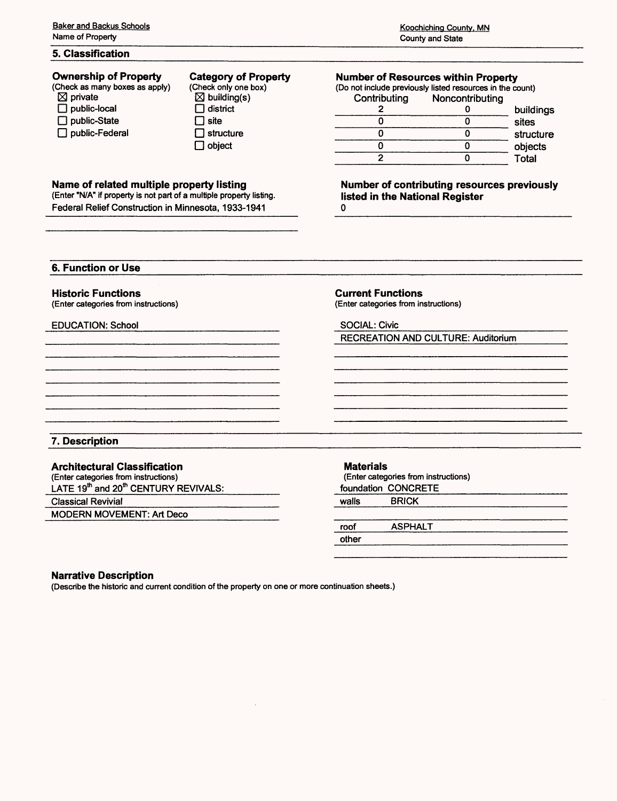# **5. Classification**

|  | <b>5. Classification</b> |  |  |  |  |
|--|--------------------------|--|--|--|--|
|  |                          |  |  |  |  |

# **Ownership of Property**<br>(Check as many boxes as appl

|                     | Check as many boxes as apply) |  |
|---------------------|-------------------------------|--|
| $\boxtimes$ private |                               |  |
|                     | $\Box$ public-local           |  |
|                     | $\Box$ public-State           |  |
|                     | $\Box$ public-Federal         |  |

### **Category of Property**

(Check only one box)  $\boxtimes$  building(s)  $\Box$  district  $\Box$  site  $\Box$  structure □ object

### **Number of Resources within Property**

| (Do not include previously listed resources in the count) |                 |           |
|-----------------------------------------------------------|-----------------|-----------|
| Contributing                                              | Noncontributing |           |
|                                                           |                 | buildings |
|                                                           |                 | sites     |
|                                                           |                 | structure |
|                                                           |                 | objects   |
|                                                           |                 | Total     |

#### **Name of related multiple property listing** (Enter "N/A" if property is not part of a multiple property listing.

Federal Relief Construction in Minnesota, 1933-1941

#### **Number of contributing resources previously listed in the National Register** 0

**6. Function or Use**

# **Historic Functions**

(Enter categories from instructions)

### EDUCATION: School

**Current Functions** (Enter categories from instructions)

SOCIAL: Civic

RECREATION AND CULTURE: Auditorium

# **7. Description**

### **Architectural Classification**

(Enter categories from instructions) LATE 19<sup>th</sup> and 20<sup>th</sup> CENTURY REVIVALS:

Classical Revivial

MODERN MOVEMENT: Art Deco

# **Materials** (Enter categories from instructions)

foundation CONCRETE walls **BRICK** 

roof ASPHALT

other

### **Narrative Description**

(Describe the historic and current condition of the property on one or more continuation sheets.)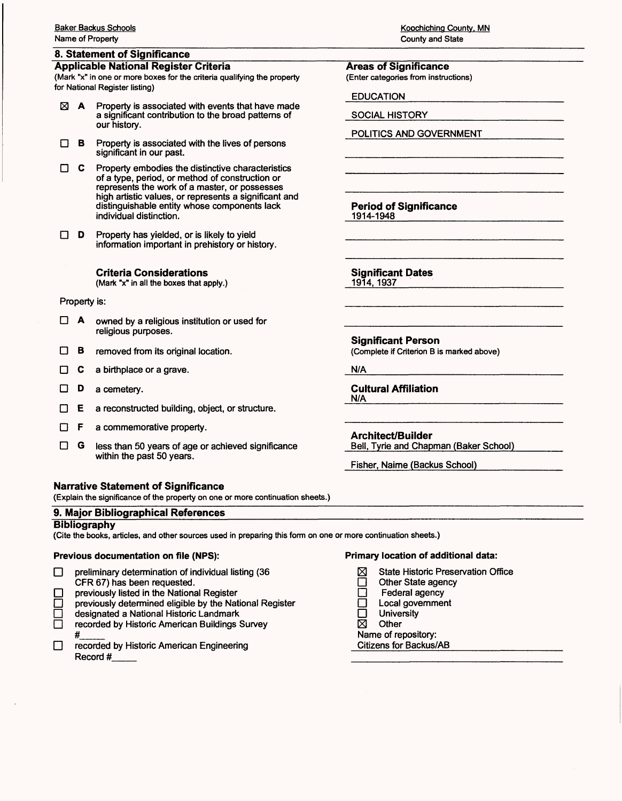### **8. Statement of Significance**

#### **Applicable National Register Criteria**

(Mark "x" in one or more boxes for the criteria qualifying the properly for National Register listing)

- $\boxtimes$  **A** Property is associated with events that have made a significant contribution to the broad patterns of our history.
- $\Box$  **B** Property is associated with the lives of persons significant in our past.
- $\Box$  C Property embodies the distinctive characteristics of a type, period, or method of construction or represents the work of a master, or possesses high artistic values, or represents a significant and distinguishable entity whose components lack individual distinction.
- $\Box$  **D** Property has yielded, or is likely to yield information important in prehistory or history.

**Criteria Considerations**

(Mark "x" in all the boxes that apply.)

#### Property is:

- $\Box$  **A** owned by a religious institution or used for religious purposes.
- $\Box$  B removed from its original location.
- $\Box$  C a birthplace or a grave.
- D a cemetery.
- E a reconstructed building, object, or structure.
- $\Box$  **F** a commemorative property.
- $\Box$  G less than 50 years of age or achieved significance within the past 50 years.

**Narrative Statement of Significance**

(Explain the significance of the property on one or more continuation sheets.)

#### **9. Major Bibliographical References**

#### **Bibliography**

(Cite the books, articles, and other sources used in preparing this form on one or more continuation sheets.)

#### **Previous documentation on file (NPS):**

- $\Box$  preliminary determination of individual listing (36 CFR 67) has been requested.
- previously listed in the National Register
- previously determined eligible by the National Register
- designated a National Historic Landmark
- recorded by Historic American Buildings Survey
- $^{\#}$ T recorded by Historic American Engineering Record #

Koochiching County. MN County and State

#### **Areas of Significance** (Enter categories from instructions)

EDUCATION

SOCIAL HISTORY

POLITICS AND GOVERNMENT

**Period of Significance** 1914-1948

**Significant Dates** 1914, 1937

**Significant Person** (Complete if Criterion B is marked above)

 $N/A$ 

**Cultural Affiliation** N/A

**Architect/Builder** Bell, Tyrie and Chapman (Baker School)

Fisher, Nairne (Backus School)\_\_\_\_\_

- **Primary location of additional data:**
	- State Historic Preservation Office<br>
	Other State agency
	- Other State agency
	- □ Federal agency<br>□ Local governmer
	- □ Local government<br>□ University
	- □ University<br>図 Other
	- Other
- Name of repository:
- Citizens for Backus/AB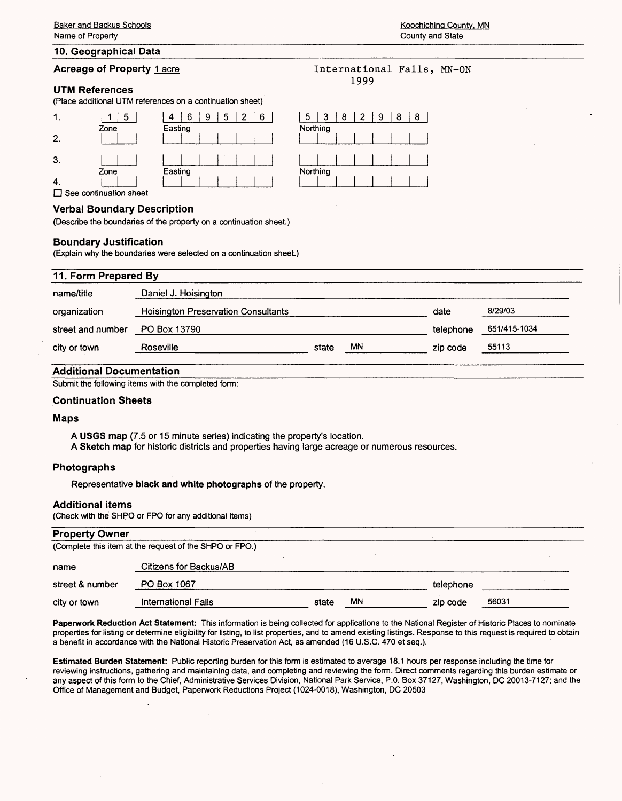### **10. Geographical Data**

### **Acreage of Property 1 acre**

#### **UTM References**

(Place additional UTM references on a continuation sheet)



 $\square$  See continuation sheet

#### **Verbal Boundary Description**

(Describe the boundaries of the property on a continuation sheet.)

#### **Boundary Justification**

(Explain why the boundaries were selected on a continuation sheet.)

#### **11. Form Prepared By** name/title organization Daniel J. Hoisington Hoisington Preservation Consultants and the Consultants date 8/29/03 street and number PO Box 13790 city or town **Roseville Roseville Roseville Roseville Roseville Roseville Roseville Roseville Roseville Roseville Roseville Roseville Roseville Roseville Roseville Roseville Roseville Rose** telephone 651/415-1034 zip code 55113

### **Additional Documentation**

Submit the following items with the completed form:

#### **Continuation Sheets**

#### **Maps**

**A USGS map** (7.5 or 15 minute series) indicating the property's location.

**A Sketch map** for historic districts and properties having large acreage or numerous resources.

#### **Photographs**

Representative **black and white photographs** of the property.

#### **Additional items**

(Check with the SHPO or FPO for any additional items)

### **Property Owner\_\_\_\_\_\_\_\_\_\_\_\_\_\_\_\_\_\_\_\_\_\_\_\_\_\_\_\_\_\_\_\_\_\_\_\_\_\_\_\_\_**

| (Complete this item at the request of the SHPO or FPO.) |                        |           |    |          |       |  |
|---------------------------------------------------------|------------------------|-----------|----|----------|-------|--|
| name                                                    | Citizens for Backus/AB |           |    |          |       |  |
| street & number                                         | PO Box 1067            | telephone |    |          |       |  |
| city or town                                            | International Falls    | state     | ΜN | zip code | 56031 |  |

**Paperwork Reduction Act Statement:** This information is being collected for applications to the National Register of Historic Places to nominate properties for listing or determine eligibility for listing, to list properties, and to amend existing listings. Response to this request is required to obtain a benefit in accordance with the National Historic Preservation Act, as amended (16 U.S.C. 470 et seq.).

**Estimated Burden Statement:** Public reporting burden for this form is estimated to average 18.1 hours per response including the time for reviewing instructions, gathering and maintaining data, and completing and reviewing the form. Direct comments regarding this burden estimate or any aspect of this form to the Chief, Administrative Services Division, National Park Service, P.O. Box 37127, Washington, DC 20013-7127; and the Office of Management and Budget, Paperwork Reductions Project (1024-0018), Washington, DC 20503

### International Falls, MN-ON 1999

| 5        | 3 <sup>7</sup> | 8   2   9 |  | 8 | 8 |  |
|----------|----------------|-----------|--|---|---|--|
| Northing |                |           |  |   |   |  |
|          |                |           |  |   |   |  |
|          |                |           |  |   |   |  |
|          |                |           |  |   |   |  |
| Northing |                |           |  |   |   |  |
|          |                |           |  |   |   |  |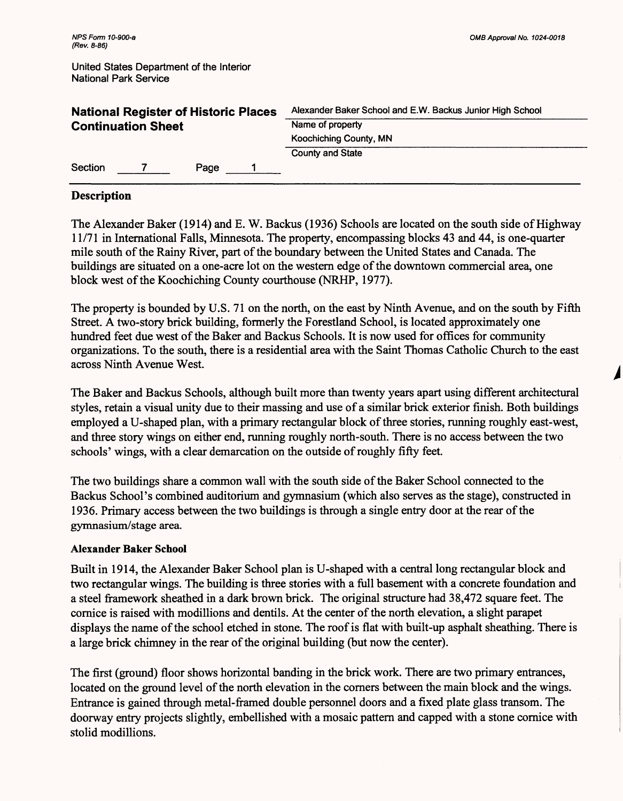| United States Department of the Interior |  |  |
|------------------------------------------|--|--|
| <b>National Park Service</b>             |  |  |

| <b>National Register of Historic Places</b> | Alexander Baker School and E.W. Backus Junior High School |  |  |
|---------------------------------------------|-----------------------------------------------------------|--|--|
| <b>Continuation Sheet</b>                   | Name of property                                          |  |  |
|                                             | Koochiching County, MN                                    |  |  |
|                                             | <b>County and State</b>                                   |  |  |
| Section<br>Page                             |                                                           |  |  |

# **Description**

The Alexander Baker (1914) and E. W. Backus (1936) Schools are located on the south side of Highway 11/71 in International Falls, Minnesota. The property, encompassing blocks 43 and 44, is one-quarter mile south of the Rainy River, part of the boundary between the United States and Canada. The buildings are situated on a one-acre lot on the western edge of the downtown commercial area, one block west of the Koochiching County courthouse (NRHP, 1977).

The property is bounded by U.S. 71 on the north, on the east by Ninth Avenue, and on the south by Fifth Street. A two-story brick building, formerly the Forestland School, is located approximately one hundred feet due west of the Baker and Backus Schools. It is now used for offices for community organizations. To the south, there is a residential area with the Saint Thomas Catholic Church to the east across Ninth Avenue West.

The Baker and Backus Schools, although built more than twenty years apart using different architectural styles, retain a visual unity due to their massing and use of a similar brick exterior finish. Both buildings employed a U-shaped plan, with a primary rectangular block of three stories, running roughly east-west, and three story wings on either end, running roughly north-south. There is no access between the two schools' wings, with a clear demarcation on the outside of roughly fifty feet.

The two buildings share a common wall with the south side of the Baker School connected to the Backus School's combined auditorium and gymnasium (which also serves as the stage), constructed in 1936. Primary access between the two buildings is through a single entry door at the rear of the gymnasium/stage area.

### **Alexander Baker School**

Built in 1914, the Alexander Baker School plan is U-shaped with a central long rectangular block and two rectangular wings. The building is three stories with a full basement with a concrete foundation and a steel framework sheathed in a dark brown brick. The original structure had 38,472 square feet. The cornice is raised with modillions and dentils. At the center of the north elevation, a slight parapet displays the name of the school etched in stone. The roof is flat with built-up asphalt sheathing. There is a large brick chimney in the rear of the original building (but now the center).

The first (ground) floor shows horizontal banding in the brick work. There are two primary entrances, located on the ground level of the north elevation in the corners between the main block and the wings. Entrance is gained through metal-framed double personnel doors and a fixed plate glass transom. The doorway entry projects slightly, embellished with a mosaic pattern and capped with a stone cornice with stolid modillions.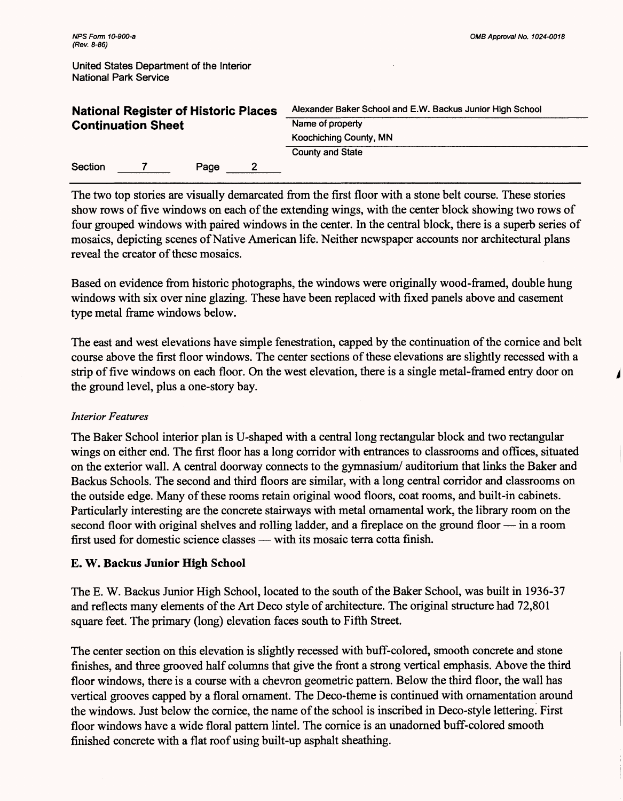|                           | <b>National Register of Historic Places</b> |      |  | Alexander Baker School and E.W. Backus Junior High School |  |
|---------------------------|---------------------------------------------|------|--|-----------------------------------------------------------|--|
| <b>Continuation Sheet</b> |                                             |      |  | Name of property                                          |  |
|                           |                                             |      |  | Koochiching County, MN                                    |  |
|                           |                                             |      |  | <b>County and State</b>                                   |  |
| Section                   |                                             | Page |  |                                                           |  |

The two top stories are visually demarcated from the first floor with a stone belt course. These stories show rows of five windows on each of the extending wings, with the center block showing two rows of four grouped windows with paired windows in the center. In the central block, there is a superb series of mosaics, depicting scenes of Native American life. Neither newspaper accounts nor architectural plans reveal the creator of these mosaics.

Based on evidence from historic photographs, the windows were originally wood-framed, double hung windows with six over nine glazing. These have been replaced with fixed panels above and casement type metal frame windows below.

The east and west elevations have simple fenestration, capped by the continuation of the cornice and belt course above the first floor windows. The center sections of these elevations are slightly recessed with a strip of five windows on each floor. On the west elevation, there is a single metal-framed entry door on the ground level, plus a one-story bay.

### *Interior Features*

The Baker School interior plan is U-shaped with a central long rectangular block and two rectangular wings on either end. The first floor has a long corridor with entrances to classrooms and offices, situated on the exterior wall. A central doorway connects to the gymnasium/ auditorium that links the Baker and Backus Schools. The second and third floors are similar, with a long central corridor and classrooms on the outside edge. Many of these rooms retain original wood floors, coat rooms, and built-in cabinets. Particularly interesting are the concrete stairways with metal ornamental work, the library room on the second floor with original shelves and rolling ladder, and a fireplace on the ground floor — in a room first used for domestic science classes — with its mosaic terra cotta finish.

# **£. W. Backus Junior High School**

The E. W. Backus Junior High School, located to the south of the Baker School, was built in 1936-37 and reflects many elements of the Art Deco style of architecture. The original structure had 72,801 square feet. The primary (long) elevation faces south to Fifth Street.

The center section on this elevation is slightly recessed with buff-colored, smooth concrete and stone finishes, and three grooved half columns that give the front a strong vertical emphasis. Above the third floor windows, there is a course with a chevron geometric pattern. Below the third floor, the wall has vertical grooves capped by a floral ornament. The Deco-theme is continued with ornamentation around the windows. Just below the cornice, the name of the school is inscribed in Deco-style lettering. First floor windows have a wide floral pattern lintel. The cornice is an unadorned buff-colored smooth finished concrete with a flat roof using built-up asphalt sheathing.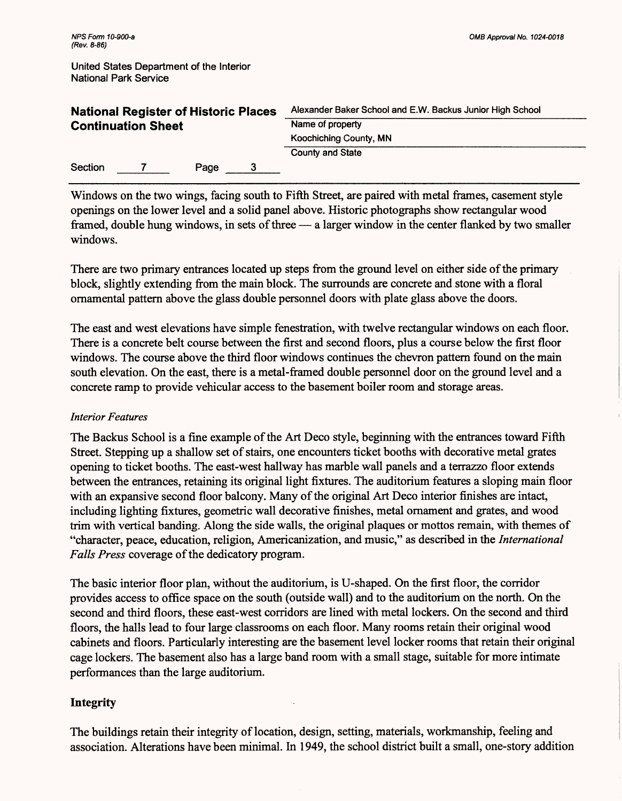|                           | <b>National Register of Historic Places</b> |      |    | Alexander Baker School and E.W. Backus Junior High School |  |  |
|---------------------------|---------------------------------------------|------|----|-----------------------------------------------------------|--|--|
| <b>Continuation Sheet</b> |                                             |      |    | Name of property                                          |  |  |
|                           |                                             |      |    | Koochiching County, MN                                    |  |  |
|                           |                                             |      |    | <b>County and State</b>                                   |  |  |
| Section                   |                                             | Page | -3 |                                                           |  |  |

Windows on the two wings, facing south to Fifth Street, are paired with metal frames, casement style openings on the lower level and a solid panel above. Historic photographs show rectangular wood framed, double hung windows, in sets of three — a larger window in the center flanked by two smaller windows.

There are two primary entrances located up steps from the ground level on either side of the primary block, slightly extending from the main block. The surrounds are concrete and stone with a floral ornamental pattern above the glass double personnel doors with plate glass above the doors.

The east and west elevations have simple fenestration, with twelve rectangular windows on each floor. There is a concrete belt course between the first and second floors, plus a course below the first floor windows. The course above the third floor windows continues the chevron pattern found on the main south elevation. On the east, there is a metal-framed double personnel door on the ground level and a concrete ramp to provide vehicular access to the basement boiler room and storage areas.

### *Interior Features*

The Backus School is a fine example of the Art Deco style, beginning with the entrances toward Fifth Street. Stepping up a shallow set of stairs, one encounters ticket booths with decorative metal grates opening to ticket booths. The east-west hallway has marble wall panels and a terrazzo floor extends between the entrances, retaining its original light fixtures. The auditorium features a sloping main floor with an expansive second floor balcony. Many of the original Art Deco interior finishes are intact, including lighting fixtures, geometric wall decorative finishes, metal ornament and grates, and wood trim with vertical banding. Along the side walls, the original plaques or mottos remain, with themes of "character, peace, education, religion, Americanization, and music," as described in the *International Falls Press* coverage of the dedicatory program.

The basic interior floor plan, without the auditorium, is U-shaped. On the first floor, the corridor provides access to office space on the south (outside wall) and to the auditorium on the north. On the second and third floors, these east-west corridors are lined with metal lockers. On the second and third floors, the halls lead to four large classrooms on each floor. Many rooms retain their original wood cabinets and floors. Particularly interesting are the basement level locker rooms that retain their original cage lockers. The basement also has a large band room with a small stage, suitable for more intimate performances than the large auditorium.

# **Integrity**

The buildings retain their integrity of location, design, setting, materials, workmanship, feeling and association. Alterations have been minimal. In 1949, the school district built a small, one-story addition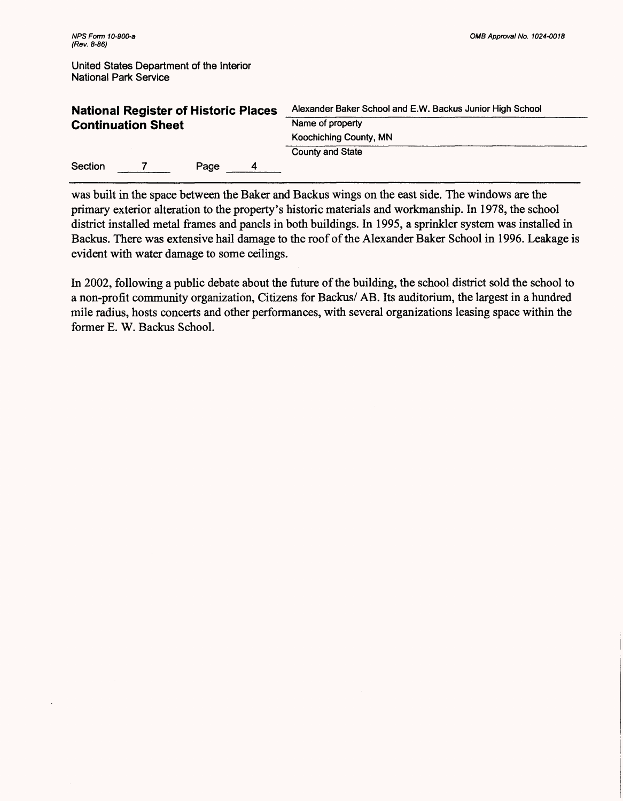| <b>National Register of Historic Places</b><br><b>Continuation Sheet</b> |  |      |   | Alexander Baker School and E.W. Backus Junior High School |  |
|--------------------------------------------------------------------------|--|------|---|-----------------------------------------------------------|--|
|                                                                          |  |      |   | Name of property                                          |  |
|                                                                          |  |      |   | Koochiching County, MN                                    |  |
|                                                                          |  |      |   | <b>County and State</b>                                   |  |
| Section                                                                  |  | Page | 4 |                                                           |  |

was built in the space between the Baker and Backus wings on the east side. The windows are the primary exterior alteration to the property's historic materials and workmanship. In 1978, the school district installed metal frames and panels in both buildings. In 1995, a sprinkler system was installed in Backus. There was extensive hail damage to the roof of the Alexander Baker School in 1996. Leakage is evident with water damage to some ceilings.

In 2002, following a public debate about the future of the building, the school district sold the school to a non-profit community organization, Citizens for Backus/ AB. Its auditorium, the largest in a hundred mile radius, hosts concerts and other performances, with several organizations leasing space within the former E. W. Backus School.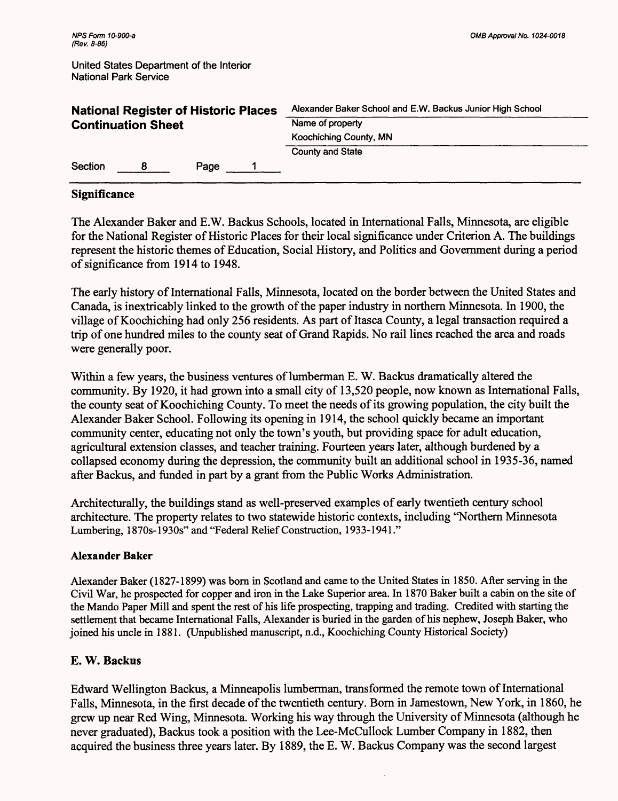| <b>National Register of Historic Places</b><br><b>Continuation Sheet</b> |  | Alexander Baker School and E.W. Backus Junior High School |  |
|--------------------------------------------------------------------------|--|-----------------------------------------------------------|--|
|                                                                          |  | Name of property                                          |  |
|                                                                          |  | Koochiching County, MN                                    |  |
|                                                                          |  | <b>County and State</b>                                   |  |
| Section<br>Page<br>8                                                     |  |                                                           |  |

# **Significance**

The Alexander Baker and E.W. Backus Schools, located in International Falls, Minnesota, are eligible for the National Register of Historic Places for their local significance under Criterion A. The buildings represent the historic themes of Education, Social History, and Politics and Government during a period of significance from 1914 to 1948.

The early history of International Falls, Minnesota, located on the border between the United States and Canada, is inextricably linked to the growth of the paper industry in northern Minnesota. In 1900, the village of Koochiching had only 256 residents. As part of Itasca County, a legal transaction required a trip of one hundred miles to the county seat of Grand Rapids. No rail lines reached the area and roads were generally poor.

Within a few years, the business ventures of lumberman E. W. Backus dramatically altered the community. By 1920, it had grown into a small city of 13,520 people, now known as International Falls, the county seat of Koochiching County. To meet the needs of its growing population, the city built the Alexander Baker School. Following its opening in 1914, the school quickly became an important community center, educating not only the town's youth, but providing space for adult education, agricultural extension classes, and teacher training. Fourteen years later, although burdened by a collapsed economy during the depression, the community built an additional school in 1935-36, named after Backus, and funded in part by a grant from the Public Works Administration.

Architecturally, the buildings stand as well-preserved examples of early twentieth century school architecture. The property relates to two statewide historic contexts, including ''Northern Minnesota Lumbering, 1870s-1930s" and "Federal Relief Construction, 1933-1941."

# **Alexander Baker**

Alexander Baker (1827-1899) was born in Scotland and came to the United States in 1850. After serving in the Civil War, he prospected for copper and iron in the Lake Superior area. In 1870 Baker built a cabin on the site of the Mando Paper Mill and spent the rest of his life prospecting, trapping and trading. Credited with starting the settlement that became International Falls, Alexander is buried in the garden of his nephew, Joseph Baker, who joined his uncle in 1881. (Unpublished manuscript, n.d., Koochiching County Historical Society)

# **E. W. Backus**

Edward Wellington Backus, a Minneapolis lumberman, transformed the remote town of International Falls, Minnesota, in the first decade of the twentieth century. Born in Jamestown, New York, in 1860, he grew up near Red Wing, Minnesota. Working his way through the University of Minnesota (although he never graduated), Backus took a position with the Lee-McCullock Lumber Company in 1882, then acquired the business three years later. By 1889, the E. W. Backus Company was the second largest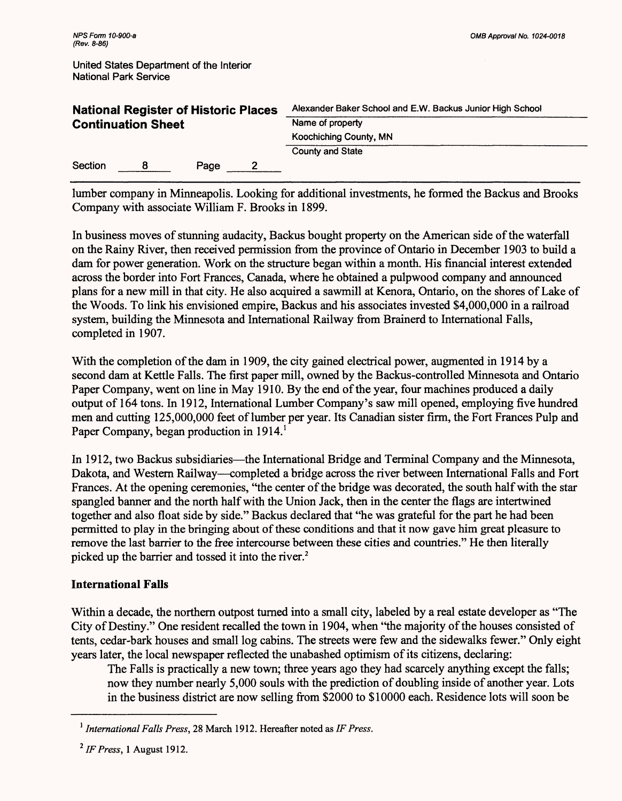|                              | United States Department of the Interior |
|------------------------------|------------------------------------------|
| <b>National Park Service</b> |                                          |

| <b>National Register of Historic Places</b><br><b>Continuation Sheet</b> |  |      | Alexander Baker School and E.W. Backus Junior High School |
|--------------------------------------------------------------------------|--|------|-----------------------------------------------------------|
|                                                                          |  |      | Name of property                                          |
|                                                                          |  |      | Koochiching County, MN                                    |
|                                                                          |  |      | <b>County and State</b>                                   |
| Section                                                                  |  | Page |                                                           |

lumber company in Minneapolis. Looking for additional investments, he formed the Backus and Brooks Company with associate William F. Brooks in 1899.

In business moves of stunning audacity, Backus bought property on the American side of the waterfall on the Rainy River, then received permission from the province of Ontario in December 1903 to build a dam for power generation. Work on the structure began within a month. His financial interest extended across the border into Fort Frances, Canada, where he obtained a pulpwood company and announced plans for a new mill in that city. He also acquired a sawmill at Kenora, Ontario, on the shores of Lake of the Woods. To link his envisioned empire, Backus and his associates invested \$4,000,000 in a railroad system, building the Minnesota and International Railway from Brainerd to International Falls, completed in 1907.

With the completion of the dam in 1909, the city gained electrical power, augmented in 1914 by a second dam at Kettle Falls. The first paper mill, owned by the Backus-controlled Minnesota and Ontario Paper Company, went on line in May 1910. By the end of the year, four machines produced a daily output of 164 tons. In 1912, International Lumber Company's saw mill opened, employing five hundred men and cutting 125,000,000 feet of lumber per year. Its Canadian sister firm, the Fort Frances Pulp and Paper Company, began production in 1914.<sup>1</sup>

In 1912, two Backus subsidiaries—the International Bridge and Terminal Company and the Minnesota, Dakota, and Western Railway—completed a bridge across the river between International Falls and Fort Frances. At the opening ceremonies, "the center of the bridge was decorated, the south half with the star spangled banner and the north half with the Union Jack, then in the center the flags are intertwined together and also float side by side." Backus declared that "he was grateful for the part he had been permitted to play in the bringing about of these conditions and that it now gave him great pleasure to remove the last barrier to the free intercourse between these cities and countries." He then literally picked up the barrier and tossed it into the river.<sup>2</sup>

# **International Falls**

Within a decade, the northern outpost turned into a small city, labeled by a real estate developer as "The City of Destiny." One resident recalled the town in 1904, when "the majority of the houses consisted of tents, cedar-bark houses and small log cabins. The streets were few and the sidewalks fewer." Only eight years later, the local newspaper reflected the unabashed optimism of its citizens, declaring:

The Falls is practically a new town; three years ago they had scarcely anything except the falls; now they number nearly 5,000 souls with the prediction of doubling inside of another year. Lots in the business district are now selling from \$2000 to \$10000 each. Residence lots will soon be

<sup>1</sup>*International Falls Press,* 28 March 1912. Hereafter noted as *IF Press.*

*<sup>2</sup> IFPress,* 1 August 1912.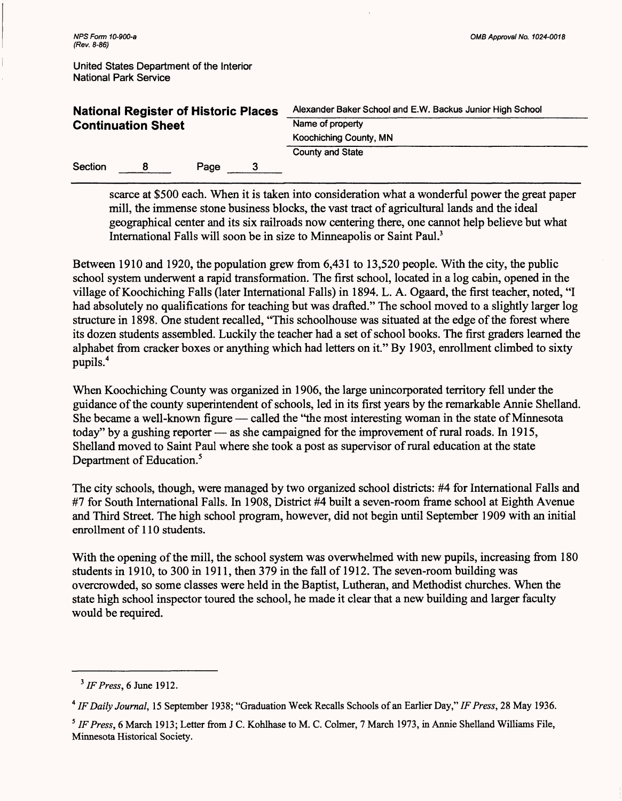| <b>National Register of Historic Places</b><br><b>Continuation Sheet</b> |  |      |   | Alexander Baker School and E.W. Backus Junior High School |  |
|--------------------------------------------------------------------------|--|------|---|-----------------------------------------------------------|--|
|                                                                          |  |      |   | Name of property                                          |  |
|                                                                          |  |      |   | Koochiching County, MN                                    |  |
|                                                                          |  |      |   | <b>County and State</b>                                   |  |
| Section                                                                  |  | Page | 3 |                                                           |  |

scarce at \$500 each. When it is taken into consideration what a wonderful power the great paper mill, the immense stone business blocks, the vast tract of agricultural lands and the ideal geographical center and its six railroads now centering there, one cannot help believe but what International Falls will soon be in size to Minneapolis or Saint Paul.3

Between 1910 and 1920, the population grew from 6,431 to 13,520 people. With the city, the public school system underwent a rapid transformation. The first school, located in a log cabin, opened in the village of Koochiching Falls (later International Falls) in 1894. L. A. Ogaard, the first teacher, noted, "I had absolutely no qualifications for teaching but was drafted." The school moved to a slightly larger log structure in 1898. One student recalled, "This schoolhouse was situated at the edge of the forest where its dozen students assembled. Luckily the teacher had a set of school books. The first graders learned the alphabet from cracker boxes or anything which had letters on it." By 1903, enrollment climbed to sixty pupils.4

When Koochiching County was organized in 1906, the large unincorporated territory fell under the guidance of the county superintendent of schools, led in its first years by the remarkable Annie Shelland. She became a well-known figure — called the "the most interesting woman in the state of Minnesota today" by a gushing reporter — as she campaigned for the improvement of rural roads. In 1915, Shelland moved to Saint Paul where she took a post as supervisor of rural education at the state Department of Education.<sup>5</sup>

The city schools, though, were managed by two organized school districts: #4 for International Falls and *#1* for South International Falls. In 1908, District *#4* built a seven-room frame school at Eighth Avenue and Third Street. The high school program, however, did not begin until September 1909 with an initial enrollment of 110 students.

With the opening of the mill, the school system was overwhelmed with new pupils, increasing from 180 students in 1910, to 300 in 1911, then 379 in the fall of 1912. The seven-room building was overcrowded, so some classes were held in the Baptist, Lutheran, and Methodist churches. When the state high school inspector toured the school, he made it clear that a new building and larger faculty would be required.

<sup>3</sup>*IF Press, 6* June 1912.

<sup>4</sup>*IF Daily Journal,* 15 September 1938; "Graduation Week Recalls Schools of an Earlier Day," *IF Press,* 28 May 1936.

<sup>5</sup>*IF Press,* 6 March 1913; Letter from J C. Kohlhase to M. C. Colmer, 7 March 1973, in Annie Shelland Williams File, Minnesota Historical Society.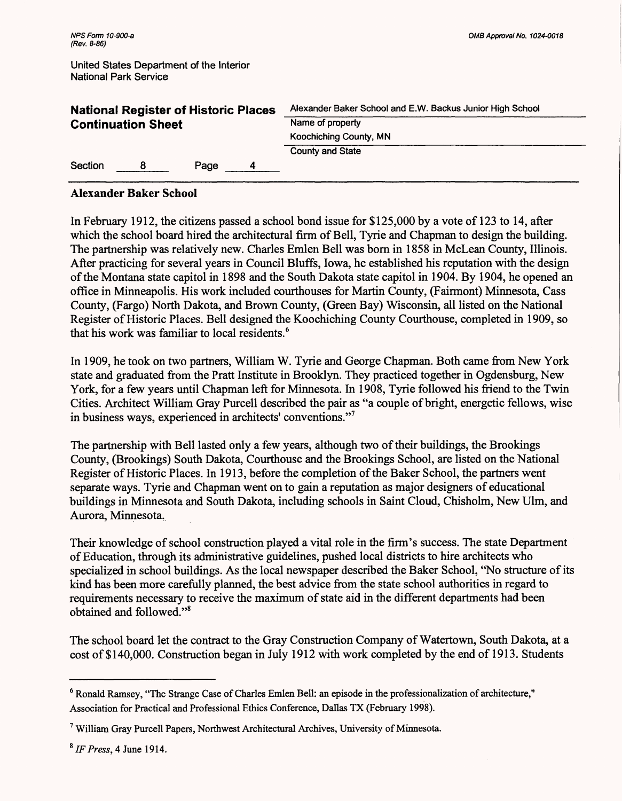| <b>National Register of Historic Places</b><br><b>Continuation Sheet</b> |    |           | Alexander Baker School and E.W. Backus Junior High School |  |
|--------------------------------------------------------------------------|----|-----------|-----------------------------------------------------------|--|
|                                                                          |    |           | Name of property                                          |  |
|                                                                          |    |           | Koochiching County, MN                                    |  |
|                                                                          |    |           | <b>County and State</b>                                   |  |
| Section                                                                  | -8 | Page<br>4 |                                                           |  |

# **Alexander Baker School**

In February 1912, the citizens passed a school bond issue for \$125,000 by a vote of 123 to 14, after which the school board hired the architectural firm of Bell, Tyrie and Chapman to design the building. The partnership was relatively new. Charles Emlen Bell was bom in 1858 in McLean County, Illinois. After practicing for several years in Council Bluffs, Iowa, he established his reputation with the design of the Montana state capitol in 1898 and the South Dakota state capitol in 1904. By 1904, he opened an office in Minneapolis. His work included courthouses for Martin County, (Fairmont) Minnesota, Cass County, (Fargo) North Dakota, and Brown County, (Green Bay) Wisconsin, all listed on the National Register of Historic Places. Bell designed the Koochiching County Courthouse, completed in 1909, so that his work was familiar to local residents. <sup>6</sup>

In 1909, he took on two partners, William W. Tyrie and George Chapman. Both came from New York state and graduated from the Pratt Institute in Brooklyn. They practiced together in Ogdensburg, New York, for a few years until Chapman left for Minnesota. In 1908, Tyrie followed his friend to the Twin Cities. Architect William Gray Purcell described the pair as "a couple of bright, energetic fellows, wise in business ways, experienced in architects' conventions."7

The partnership with Bell lasted only a few years, although two of their buildings, the Brookings County, (Brookings) South Dakota, Courthouse and the Brookings School, are listed on the National Register of Historic Places. In 1913, before the completion of the Baker School, the partners went separate ways. Tyrie and Chapman went on to gain a reputation as major designers of educational buildings in Minnesota and South Dakota, including schools in Saint Cloud, Chisholm, New Ulm, and Aurora, Minnesota.

Their knowledge of school construction played a vital role in the firm's success. The state Department of Education, through its administrative guidelines, pushed local districts to hire architects who specialized in school buildings. As the local newspaper described the Baker School, "No structure of its kind has been more carefully planned, the best advice from the state school authorities in regard to requirements necessary to receive the maximum of state aid in the different departments had been obtained and followed."8

The school board let the contract to the Gray Construction Company of Watertown, South Dakota, at a cost of \$140,000. Construction began in July 1912 with work completed by the end of 1913. Students

<sup>6</sup> Ronald Ramsey, "The Strange Case of Charles Emlen Bell: an episode in the professionalization of architecture," Association for Practical and Professional Ethics Conference, Dallas TX (February 1998).

<sup>7</sup> William Gray Purcell Papers, Northwest Architectural Archives, University of Minnesota.

*<sup>\*</sup> IF Press, 4 June 1914.*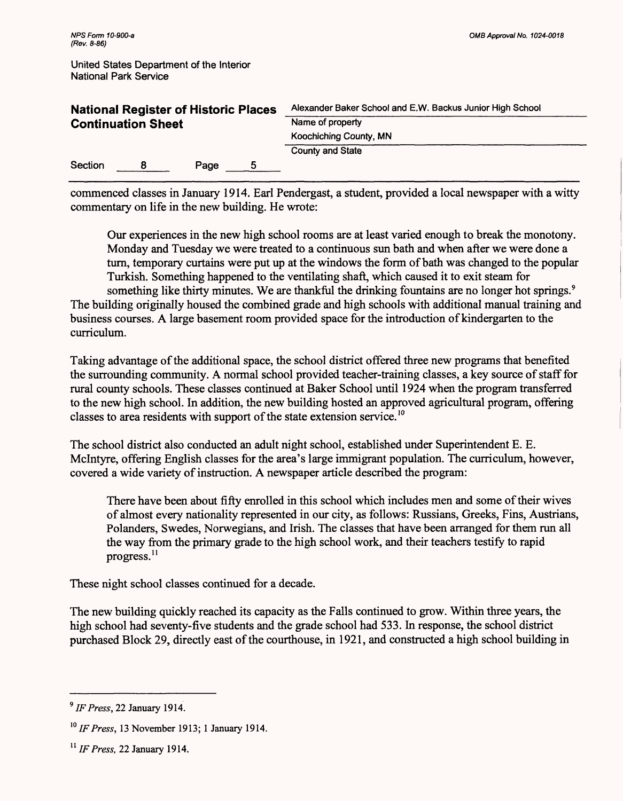| <b>National Register of Historic Places</b><br><b>Continuation Sheet</b> |  |      |                               | Alexander Baker School and E.W. Backus Junior High School |  |
|--------------------------------------------------------------------------|--|------|-------------------------------|-----------------------------------------------------------|--|
|                                                                          |  |      |                               | Name of property                                          |  |
|                                                                          |  |      | <b>Koochiching County, MN</b> |                                                           |  |
|                                                                          |  |      |                               | <b>County and State</b>                                   |  |
| Section                                                                  |  | Page | Ð                             |                                                           |  |

commenced classes in January 1914. Earl Pendergast, a student, provided a local newspaper with a witty commentary on life in the new building. He wrote:

Our experiences in the new high school rooms are at least varied enough to break the monotony. Monday and Tuesday we were treated to a continuous sun bath and when after we were done a turn, temporary curtains were put up at the windows the form of bath was changed to the popular Turkish. Something happened to the ventilating shaft, which caused it to exit steam for something like thirty minutes. We are thankful the drinking fountains are no longer hot springs.<sup>9</sup> The building originally housed the combined grade and high schools with additional manual training and business courses. A large basement room provided space for the introduction of kindergarten to the curriculum.

Taking advantage of the additional space, the school district offered three new programs that benefited the surrounding community. A normal school provided teacher-training classes, a key source of staff for rural county schools. These classes continued at Baker School until 1924 when the program transferred to the new high school. In addition, the new building hosted an approved agricultural program, offering classes to area residents with support of the state extension service.<sup>10</sup>

The school district also conducted an adult night school, established under Superintendent E. E. Mclntyre, offering English classes for the area's large immigrant population. The curriculum, however, covered a wide variety of instruction. A newspaper article described the program:

There have been about fifty enrolled in this school which includes men and some of their wives of almost every nationality represented in our city, as follows: Russians, Greeks, Fins, Austrians, Polanders, Swedes, Norwegians, and Irish. The classes that have been arranged for them run all the way from the primary grade to the high school work, and their teachers testify to rapid progress. <sup>11</sup>

These night school classes continued for a decade.

The new building quickly reached its capacity as the Falls continued to grow. Within three years, the high school had seventy-five students and the grade school had 533. In response, the school district purchased Block 29, directly east of the courthouse, in 1921, and constructed a high school building in

<sup>9</sup>*IF Press,* 22 January 1914.

<sup>10</sup>*IF Press,* 13 November 1913; 1 January 1914.

<sup>11</sup> *IF Press,* 22 January 1914.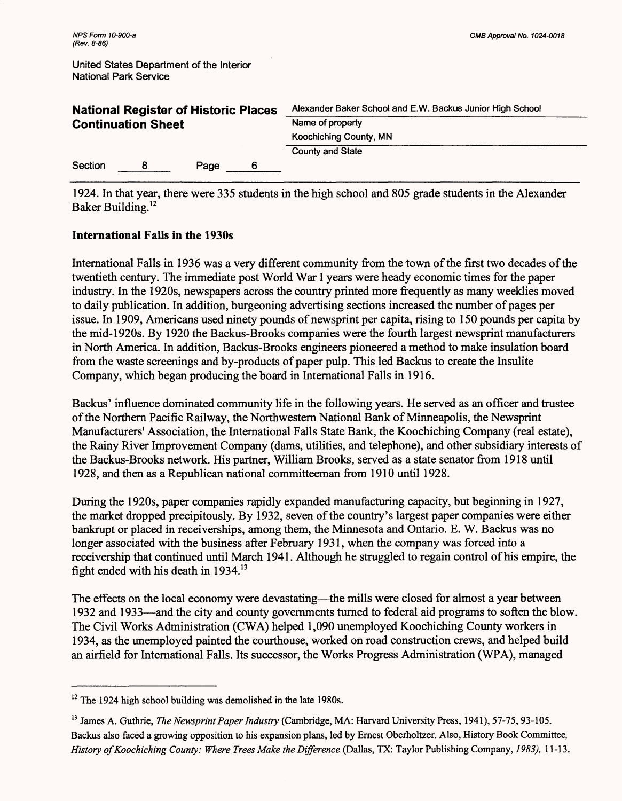| <b>National Register of Historic Places</b><br><b>Continuation Sheet</b> |   |      |                        | Alexander Baker School and E.W. Backus Junior High School |  |
|--------------------------------------------------------------------------|---|------|------------------------|-----------------------------------------------------------|--|
|                                                                          |   |      |                        | Name of property                                          |  |
|                                                                          |   |      | Koochiching County, MN |                                                           |  |
|                                                                          |   |      |                        | <b>County and State</b>                                   |  |
| Section                                                                  | 8 | Page | 6                      |                                                           |  |

1924. In that year, there were 335 students in the high school and 805 grade students in the Alexander Baker Building. <sup>12</sup>

# **International Falls in the 1930s**

International Falls in 1936 was a very different community from the town of the first two decades of the twentieth century. The immediate post World War I years were heady economic times for the paper industry. In the 1920s, newspapers across the country printed more frequently as many weeklies moved to daily publication. In addition, burgeoning advertising sections increased the number of pages per issue. In 1909, Americans used ninety pounds of newsprint per capita, rising to 150 pounds per capita by the mid-1920s. By 1920 the Backus-Brooks companies were the fourth largest newsprint manufacturers in North America. In addition, Backus-Brooks engineers pioneered a method to make insulation board from the waste screenings and by-products of paper pulp. This led Backus to create the Insulite Company, which began producing the board in International Falls in 1916.

Backus' influence dominated community life in the following years. He served as an officer and trustee of the Northern Pacific Railway, the Northwestern National Bank of Minneapolis, the Newsprint Manufacturers' Association, the International Falls State Bank, the Koochiching Company (real estate), the Rainy River Improvement Company (dams, utilities, and telephone), and other subsidiary interests of the Backus-Brooks network. His partner, William Brooks, served as a state senator from 1918 until 1928, and then as a Republican national committeeman from 1910 until 1928.

During the 1920s, paper companies rapidly expanded manufacturing capacity, but beginning in 1927, the market dropped precipitously. By 1932, seven of the country's largest paper companies were either bankrupt or placed in receiverships, among them, the Minnesota and Ontario. E. W. Backus was no longer associated with the business after February 1931, when the company was forced into a receivership that continued until March 1941. Although he struggled to regain control of his empire, the fight ended with his death in  $1934$ <sup>13</sup>

The effects on the local economy were devastating—the mills were closed for almost a year between 1932 and 1933—and the city and county governments turned to federal aid programs to soften the blow. The Civil Works Administration (CWA) helped 1,090 unemployed Koochiching County workers in 1934, as the unemployed painted the courthouse, worked on road construction crews, and helped build an airfield for International Falls. Its successor, the Works Progress Administration (WPA), managed

 $12$  The 1924 high school building was demolished in the late 1980s.

<sup>&</sup>lt;sup>13</sup> James A. Guthrie, *The Newsprint Paper Industry* (Cambridge, MA: Harvard University Press, 1941), 57-75, 93-105. Backus also faced a growing opposition to his expansion plans, led by Ernest Oberholtzer. Also, History Book Committee, *History of Koochiching County: Where Trees Make the Difference* (Dallas, TX: Taylor Publishing Company, *1983),* 11-13.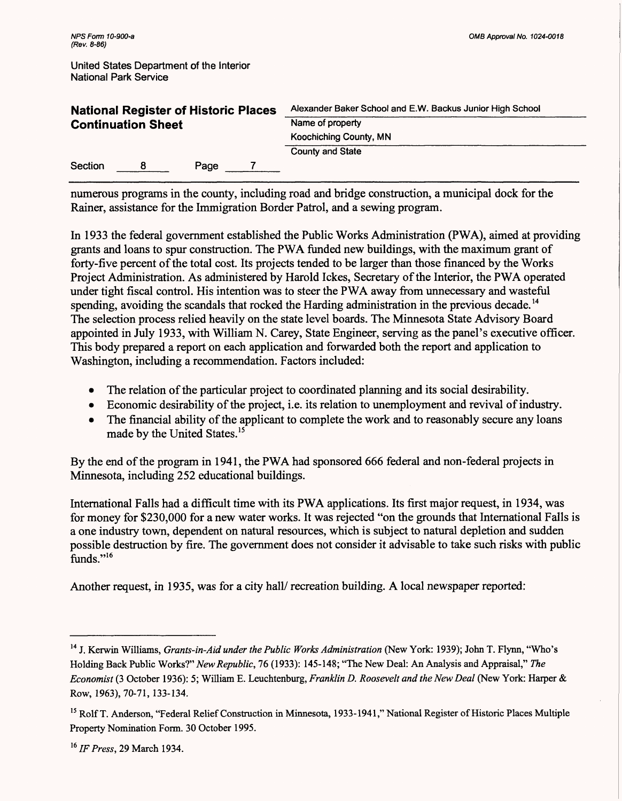| <b>National Register of Historic Places</b><br><b>Continuation Sheet</b> |   |      |  | Alexander Baker School and E.W. Backus Junior High School |  |
|--------------------------------------------------------------------------|---|------|--|-----------------------------------------------------------|--|
|                                                                          |   |      |  | Name of property<br>Koochiching County, MN                |  |
|                                                                          |   |      |  |                                                           |  |
|                                                                          |   |      |  | <b>County and State</b>                                   |  |
| Section                                                                  | 8 | Page |  |                                                           |  |

numerous programs in the county, including road and bridge construction, a municipal dock for the Rainer, assistance for the Immigration Border Patrol, and a sewing program.

In 1933 the federal government established the Public Works Administration (PWA), aimed at providing grants and loans to spur construction. The PWA funded new buildings, with the maximum grant of forty-five percent of the total cost. Its projects tended to be larger than those financed by the Works Project Administration. As administered by Harold Ickes, Secretary of the Interior, the PWA operated under tight fiscal control. His intention was to steer the PWA away from unnecessary and wasteful spending, avoiding the scandals that rocked the Harding administration in the previous decade.<sup>14</sup> The selection process relied heavily on the state level boards. The Minnesota State Advisory Board appointed in July 1933, with William N. Carey, State Engineer, serving as the panel's executive officer. This body prepared a report on each application and forwarded both the report and application to Washington, including a recommendation. Factors included:

- The relation of the particular project to coordinated planning and its social desirability.
- Economic desirability of the project, i.e. its relation to unemployment and revival of industry.
- The financial ability of the applicant to complete the work and to reasonably secure any loans made by the United States. <sup>15</sup>

By the end of the program in 1941, the PWA had sponsored 666 federal and non-federal projects in Minnesota, including 252 educational buildings.

International Falls had a difficult time with its PWA applications. Its first major request, in 1934, was for money for \$230,000 for a new water works. It was rejected "on the grounds that International Falls is a one industry town, dependent on natural resources, which is subject to natural depletion and sudden possible destruction by fire. The government does not consider it advisable to take such risks with public funds."16

Another request, in 1935, was for a city hall/ recreation building. A local newspaper reported:

<sup>&</sup>lt;sup>14</sup> J. Kerwin Williams, *Grants-in-Aid under the Public Works Administration* (New York: 1939); John T. Flynn, "Who's Holding Back Public Works?" *New Republic,* 76 (1933): 145-148; "The New Deal: An Analysis and Appraisal," *The Economist* (3 October 1936): 5; William E. Leuchtenburg, *Franklin D. Roosevelt and the New Deal* (New York: Harper & Row, 1963), 70-71,133-134.

<sup>&</sup>lt;sup>15</sup> Rolf T. Anderson, "Federal Relief Construction in Minnesota, 1933-1941," National Register of Historic Places Multiple Property Nomination Form. 30 October 1995.

<sup>16</sup> *IF Press, 29* March 1934.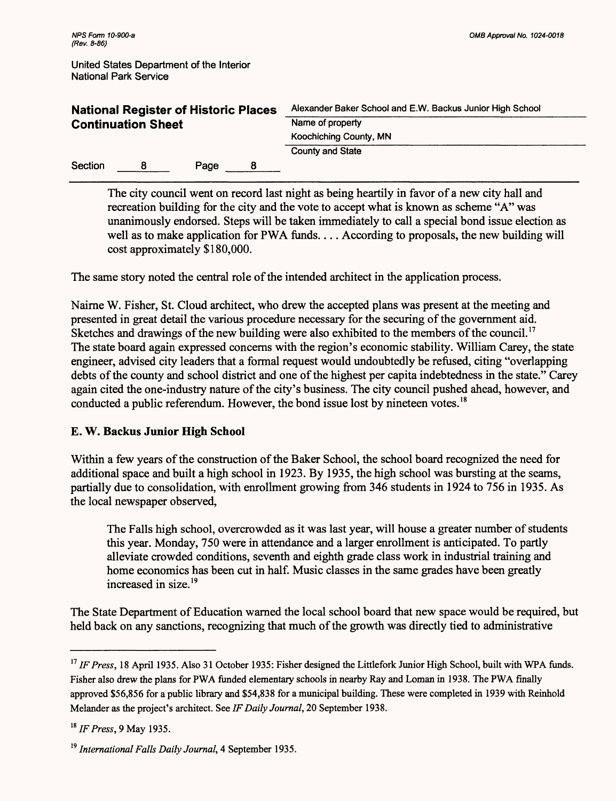| <b>National Register of Historic Places</b><br><b>Continuation Sheet</b> |  |      |    | Alexander Baker School and E.W. Backus Junior High School |  |
|--------------------------------------------------------------------------|--|------|----|-----------------------------------------------------------|--|
|                                                                          |  |      |    | Name of property                                          |  |
|                                                                          |  |      |    | Koochiching County, MN                                    |  |
|                                                                          |  |      |    | <b>County and State</b>                                   |  |
| Section                                                                  |  | Page | -8 |                                                           |  |

The city council went on record last night as being heartily in favor of a new city hall and recreation building for the city and the vote to accept what is known as scheme "A" was unanimously endorsed. Steps will be taken immediately to call a special bond issue election as well as to make application for PWA funds... According to proposals, the new building will cost approximately \$180,000.

The same story noted the central role of the intended architect in the application process.

Nairne W. Fisher, St. Cloud architect, who drew the accepted plans was present at the meeting and presented in great detail the various procedure necessary for the securing of the government aid. Sketches and drawings of the new building were also exhibited to the members of the council.<sup>17</sup> The state board again expressed concerns with the region's economic stability. William Carey, the state engineer, advised city leaders that a formal request would undoubtedly be refused, citing "overlapping debts of the county and school district and one of the highest per capita indebtedness in the state." Carey again cited the one-industry nature of the city's business. The city council pushed ahead, however, and conducted a public referendum. However, the bond issue lost by nineteen votes.<sup>18</sup>

# **£. W. Backus Junior High School**

Within a few years of the construction of the Baker School, the school board recognized the need for additional space and built a high school in 1923. By 1935, the high school was bursting at the seams, partially due to consolidation, with enrollment growing from 346 students in 1924 to 756 in 1935. As the local newspaper observed,

The Falls high school, overcrowded as it was last year, will house a greater number of students this year. Monday, 750 were in attendance and a larger enrollment is anticipated. To partly alleviate crowded conditions, seventh and eighth grade class work in industrial training and home economics has been cut in half. Music classes in the same grades have been greatly increased in size. <sup>19</sup>

The State Department of Education warned the local school board that new space would be required, but held back on any sanctions, recognizing that much of the growth was directly tied to administrative

<sup>&</sup>lt;sup>17</sup> IF Press, 18 April 1935. Also 31 October 1935: Fisher designed the Littlefork Junior High School, built with WPA funds. Fisher also drew the plans for PWA funded elementary schools in nearby Ray and Loman in 1938. The PWA finally approved \$56,856 for a public library and \$54,838 for a municipal building. These were completed in 1939 with Reinhold Melander as the project's architect. See *IF Daily Journal,* 20 September 1938.

 $18$  IF Press, 9 May 1935.

<sup>19</sup> *International Falls Daily Journal,* 4 September 1935.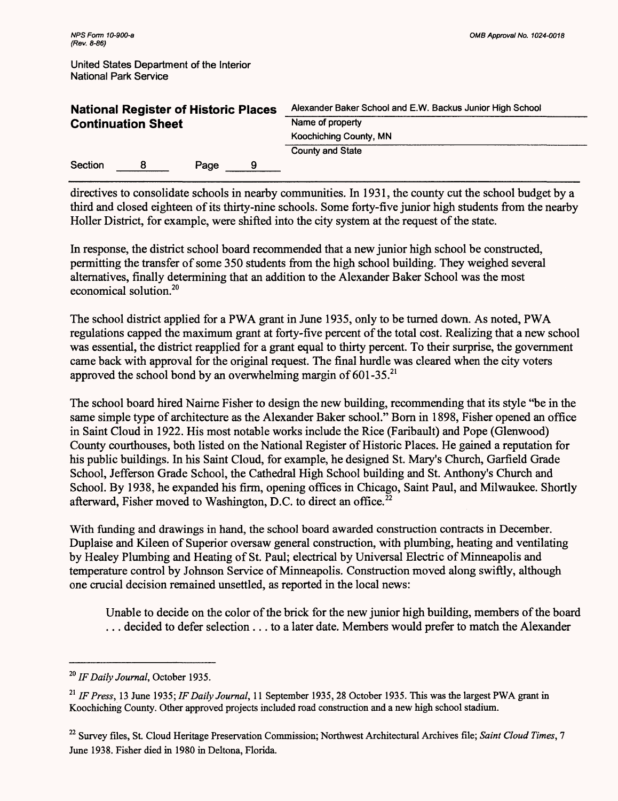| <b>National Register of Historic Places</b><br><b>Continuation Sheet</b> |  |      |                        | Alexander Baker School and E.W. Backus Junior High School |  |
|--------------------------------------------------------------------------|--|------|------------------------|-----------------------------------------------------------|--|
|                                                                          |  |      |                        | Name of property                                          |  |
|                                                                          |  |      | Koochiching County, MN |                                                           |  |
|                                                                          |  |      |                        | <b>County and State</b>                                   |  |
| Section                                                                  |  | Page | 9                      |                                                           |  |

directives to consolidate schools in nearby communities. In 1931, the county cut the school budget by a third and closed eighteen of its thirty-nine schools. Some forty-five junior high students from the nearby Holler District, for example, were shifted into the city system at the request of the state.

In response, the district school board recommended that a new junior high school be constructed, permitting the transfer of some 350 students from the high school building. They weighed several alternatives, finally determining that an addition to the Alexander Baker School was the most economical solution.20

The school district applied for a PWA grant in June 1935, only to be turned down. As noted, PWA regulations capped the maximum grant at forty-five percent of the total cost. Realizing that a new school was essential, the district reapplied for a grant equal to thirty percent. To their surprise, the government came back with approval for the original request. The final hurdle was cleared when the city voters approved the school bond by an overwhelming margin of  $601-35$ <sup>21</sup>

The school board hired Nairne Fisher to design the new building, recommending that its style "be in the same simple type of architecture as the Alexander Baker school." Born in 1898, Fisher opened an office in Saint Cloud in 1922. His most notable works include the Rice (Faribault) and Pope (Glenwood) County courthouses, both listed on the National Register of Historic Places. He gained a reputation for his public buildings. In his Saint Cloud, for example, he designed St. Mary's Church, Garfield Grade School, Jefferson Grade School, the Cathedral High School building and St. Anthony's Church and School. By 1938, he expanded his firm, opening offices in Chicago, Saint Paul, and Milwaukee. Shortly afterward, Fisher moved to Washington, D.C. to direct an office.<sup>22</sup>

With funding and drawings in hand, the school board awarded construction contracts in December. Duplaise and Kileen of Superior oversaw general construction, with plumbing, heating and ventilating by Healey Plumbing and Heating of St. Paul; electrical by Universal Electric of Minneapolis and temperature control by Johnson Service of Minneapolis. Construction moved along swiftly, although one crucial decision remained unsettled, as reported in the local news:

Unable to decide on the color of the brick for the new junior high building, members of the board ... decided to defer selection ... to a later date. Members would prefer to match the Alexander

<sup>20</sup>*IF Daily Journal,* October 1935.

<sup>&</sup>lt;sup>21</sup> IF Press, 13 June 1935; IF Daily Journal, 11 September 1935, 28 October 1935. This was the largest PWA grant in Koochiching County. Other approved projects included road construction and a new high school stadium.

<sup>22</sup> Survey files, St. Cloud Heritage Preservation Commission; Northwest Architectural Archives file; *Saint Cloud Times,* 7 June 1938. Fisher died in 1980 in Deltona, Florida.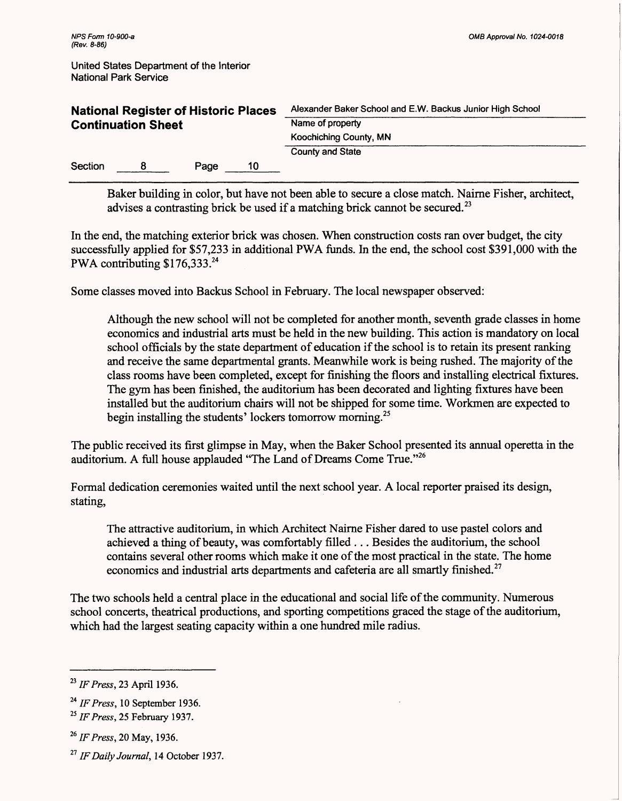|                              | United States Department of the Interior |
|------------------------------|------------------------------------------|
| <b>National Park Service</b> |                                          |

| <b>National Register of Historic Places</b> | Alexander Baker School and E.W. Backus Junior High School |  |
|---------------------------------------------|-----------------------------------------------------------|--|
| <b>Continuation Sheet</b>                   | Name of property                                          |  |
|                                             | Koochiching County, MN                                    |  |
|                                             | <b>County and State</b>                                   |  |
| 10<br>Section<br>Page                       |                                                           |  |

Baker building in color, but have not been able to secure a close match. Nairne Fisher, architect, advises a contrasting brick be used if a matching brick cannot be secured.<sup>23</sup>

In the end, the matching exterior brick was chosen. When construction costs ran over budget, the city successfully applied for \$57,233 in additional PWA funds. In the end, the school cost \$391,000 with the PWA contributing \$176,333.<sup>24</sup>

Some classes moved into Backus School in February. The local newspaper observed:

Although the new school will not be completed for another month, seventh grade classes in home economics and industrial arts must be held in the new building. This action is mandatory on local school officials by the state department of education if the school is to retain its present ranking and receive the same departmental grants. Meanwhile work is being rushed. The majority of the class rooms have been completed, except for finishing the floors and installing electrical fixtures. The gym has been finished, the auditorium has been decorated and lighting fixtures have been installed but the auditorium chairs will not be shipped for some time. Workmen are expected to begin installing the students' lockers tomorrow morning.<sup>25</sup>

The public received its first glimpse in May, when the Baker School presented its annual operetta in the auditorium. A full house applauded "The Land of Dreams Come True."26

Formal dedication ceremonies waited until the next school year. A local reporter praised its design, stating,

The attractive auditorium, in which Architect Nairne Fisher dared to use pastel colors and achieved a thing of beauty, was comfortably filled ... Besides the auditorium, the school contains several other rooms which make it one of the most practical in the state. The home economics and industrial arts departments and cafeteria are all smartly finished.<sup>27</sup>

The two schools held a central place in the educational and social life of the community. Numerous school concerts, theatrical productions, and sporting competitions graced the stage of the auditorium, which had the largest seating capacity within a one hundred mile radius.

*26 IF Press, 20 May,* 1936.

<sup>23</sup>*IF Press,* 23 April 1936.

<sup>24</sup>*IF Press,* 10 September 1936.

<sup>25</sup>*IF Press,* 25 February 1937.

<sup>27</sup> *IF Daily Journal,* 14 October 1937.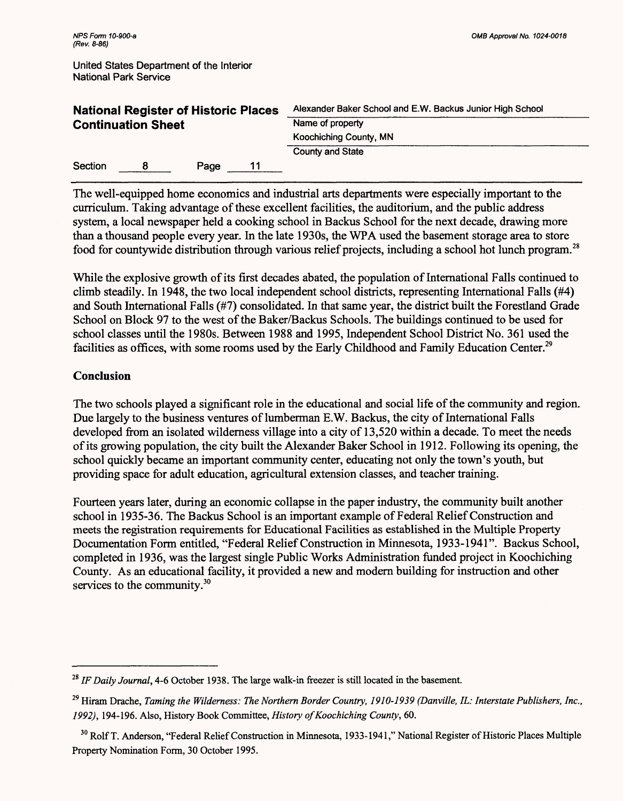| <b>National Register of Historic Places</b><br><b>Continuation Sheet</b> |  |      |                        | Alexander Baker School and E.W. Backus Junior High School |  |
|--------------------------------------------------------------------------|--|------|------------------------|-----------------------------------------------------------|--|
|                                                                          |  |      |                        | Name of property                                          |  |
|                                                                          |  |      | Koochiching County, MN |                                                           |  |
|                                                                          |  |      |                        | <b>County and State</b>                                   |  |
| Section                                                                  |  | Page | 11                     |                                                           |  |

The well-equipped home economics and industrial arts departments were especially important to the curriculum. Taking advantage of these excellent facilities, the auditorium, and the public address system, a local newspaper held a cooking school in Backus School for the next decade, drawing more than a thousand people every year. In the late 1930s, the WPA used the basement storage area to store food for countywide distribution through various relief projects, including a school hot lunch program.<sup>28</sup>

While the explosive growth of its first decades abated, the population of International Falls continued to climb steadily. In 1948, the two local independent school districts, representing International Falls *(#4)*  and South International Falls *(#1)* consolidated. In that same year, the district built the Forestland Grade School on Block 97 to the west of the Baker/Backus Schools. The buildings continued to be used for school classes until the 1980s. Between 1988 and 1995, Independent School District No. 361 used the facilities as offices, with some rooms used by the Early Childhood and Family Education Center.<sup>29</sup>

# **Conclusion**

The two schools played a significant role in the educational and social life of the community and region. Due largely to the business ventures of lumberman E.W. Backus, the city of International Falls developed from an isolated wilderness village into a city of 13,520 within a decade. To meet the needs of its growing population, the city built the Alexander Baker School in 1912. Following its opening, the school quickly became an important community center, educating not only the town's youth, but providing space for adult education, agricultural extension classes, and teacher training.

Fourteen years later, during an economic collapse in the paper industry, the community built another school in 1935-36. The Backus School is an important example of Federal Relief Construction and meets the registration requirements for Educational Facilities as established in the Multiple Property Documentation Form entitled, "Federal Relief Construction in Minnesota, 1933-1941". Backus School, completed in 1936, was the largest single Public Works Administration funded project in Koochiching County. As an educational facility, it provided a new and modern building for instruction and other services to the community.<sup>30</sup>

<sup>28</sup>*IF Daily Journal,* 4-6 October 1938. The large walk-in freezer is still located in the basement.

<sup>29</sup> Hiram Drache, *Taming the Wilderness: The Northern Border Country, 1910-1939 (Danville, IL: Interstate Publishers, Inc., 1992),* 194-196. Also, History Book Committee, *History of Koochiching County,* 60.

<sup>30</sup> Rolf T. Anderson, "Federal Relief Construction in Minnesota, 1933-1941," National Register of Historic Places Multiple Property Nomination Form, 30 October 1995.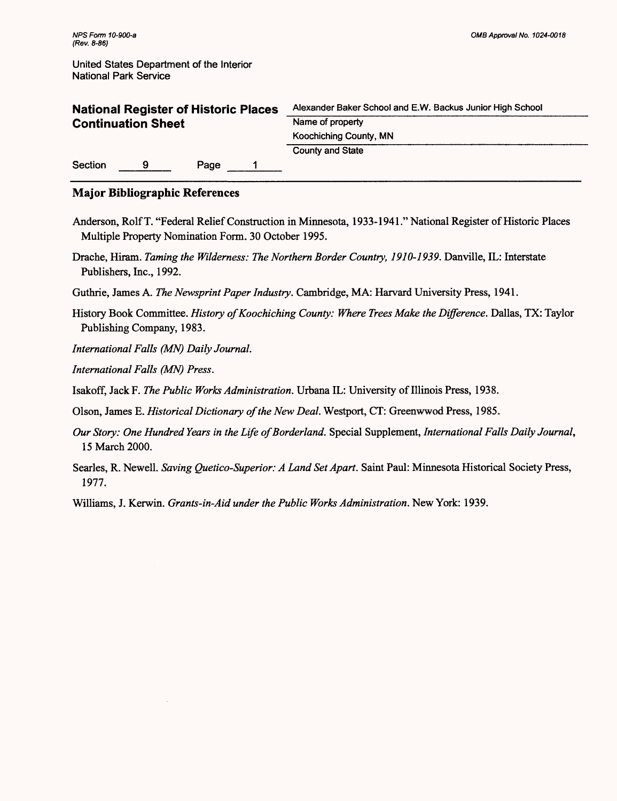| <b>National Register of Historic Places</b> | Alexander Baker School and E.W. Backus Junior High School |
|---------------------------------------------|-----------------------------------------------------------|
| <b>Continuation Sheet</b>                   | Name of property                                          |
|                                             | Koochiching County, MN                                    |
|                                             | <b>County and State</b>                                   |
| Section<br>9<br>Page                        |                                                           |

### **Major Bibliographic References**

- Anderson, Rolf T. "Federal Relief Construction in Minnesota, 1933-1941." National Register of Historic Places Multiple Property Nomination Form. 30 October 1995.
- Drache, Hiram. *Taming the Wilderness: The Northern Border Country, 1910-1939.* Danville, IL: Interstate Publishers, Inc., 1992.
- Guthrie, James A. *The Newsprint Paper Industry.* Cambridge, MA: Harvard University Press, 1941.
- History Book Committee. *History of Koochiching County: Where Trees Make the Difference.* Dallas, TX: Taylor Publishing Company, 1983.

*International Falls (MN) Daily Journal.*

*International Falls (MN) Press.*

Isakoff, JackF. *The Public Works Administration.* Urbana IL: University of Illinois Press, 1938.

Olson, James E. *Historical Dictionary of the New Deal.* Westport, CT: Greenwwod Press, 1985.

- *Our Story: One Hundred Years in the Life of Borderland.* Special Supplement, *International Falls Daily Journal,*  15 March 2000.
- Searles, R. Newell. *Saving Quetico-Superior: A Land Set Apart.* Saint Paul: Minnesota Historical Society Press, 1977.

Williams, J. Kerwin. *Grants-in-Aid under the Public Works Administration.* New York: 1939.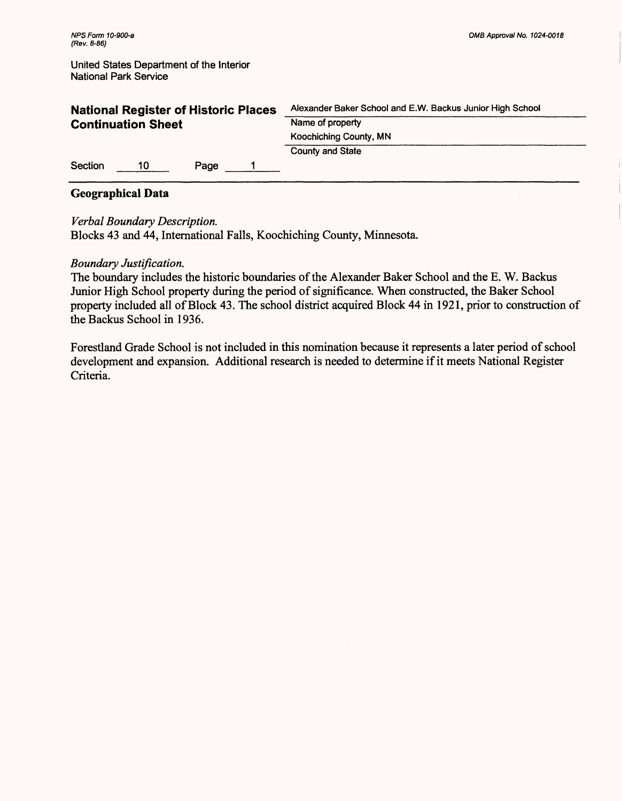| <b>National Register of Historic Places</b><br><b>Continuation Sheet</b> |    |      | Alexander Baker School and E.W. Backus Junior High School |
|--------------------------------------------------------------------------|----|------|-----------------------------------------------------------|
|                                                                          |    |      | Name of property                                          |
|                                                                          |    |      | Koochiching County, MN                                    |
|                                                                          |    |      | <b>County and State</b>                                   |
| Section                                                                  | 10 | Page |                                                           |

# **Geographical Data**

# *Verbal Boundary Description.*

Blocks 43 and 44, International Falls, Koochiching County, Minnesota.

# *Boundary Justification.*

The boundary includes the historic boundaries of the Alexander Baker School and the E. W. Backus Junior High School property during the period of significance. When constructed, the Baker School property included all of Block 43. The school district acquired Block 44 in 1921, prior to construction of the Backus School in 1936.

Forestland Grade School is not included in this nomination because it represents a later period of school development and expansion. Additional research is needed to determine if it meets National Register Criteria.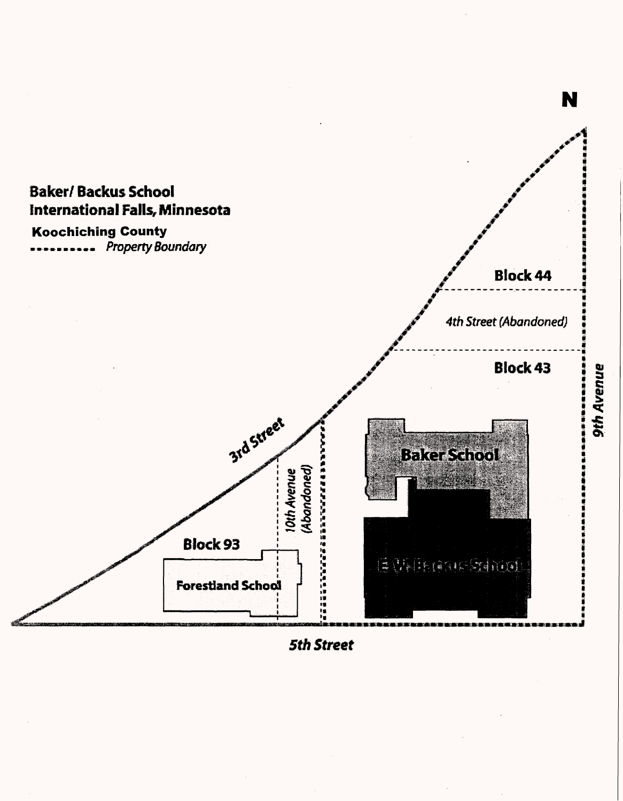

**5th Street** 

N